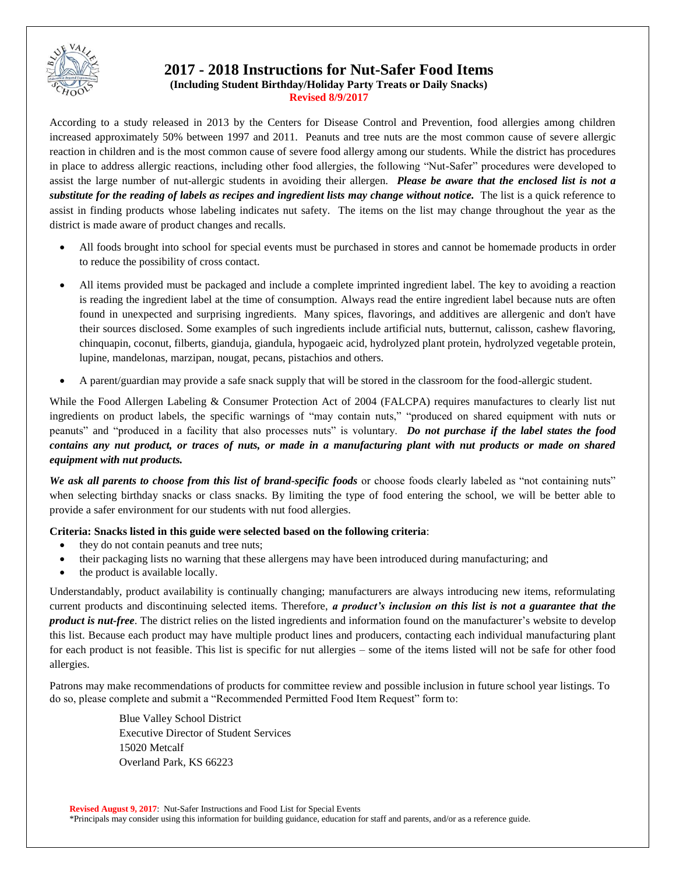

# **2017 - 2018 Instructions for Nut-Safer Food Items**

**(Including Student Birthday/Holiday Party Treats or Daily Snacks) Revised 8/9/2017**

According to a study released in 2013 by the Centers for Disease Control and Prevention, food allergies among children increased approximately 50% between 1997 and 2011. Peanuts and tree nuts are the most common cause of severe allergic reaction in children and is the most common cause of severe food allergy among our students. While the district has procedures in place to address allergic reactions, including other food allergies, the following "Nut-Safer" procedures were developed to assist the large number of nut-allergic students in avoiding their allergen. *Please be aware that the enclosed list is not a substitute for the reading of labels as recipes and ingredient lists may change without notice.* The list is a quick reference to assist in finding products whose labeling indicates nut safety. The items on the list may change throughout the year as the district is made aware of product changes and recalls.

- All foods brought into school for special events must be purchased in stores and cannot be homemade products in order to reduce the possibility of cross contact.
- All items provided must be packaged and include a complete imprinted ingredient label. The key to avoiding a reaction is reading the ingredient label at the time of consumption. Always read the entire ingredient label because nuts are often found in unexpected and surprising ingredients. Many spices, flavorings, and additives are allergenic and don't have their sources disclosed. Some examples of such ingredients include artificial nuts, butternut, calisson, cashew flavoring, chinquapin, coconut, filberts, gianduja, giandula, hypogaeic acid, hydrolyzed plant protein, hydrolyzed vegetable protein, lupine, mandelonas, marzipan, nougat, pecans, pistachios and others.
- A parent/guardian may provide a safe snack supply that will be stored in the classroom for the food-allergic student.

While the Food Allergen Labeling & Consumer Protection Act of 2004 (FALCPA) requires manufactures to clearly list nut ingredients on product labels, the specific warnings of "may contain nuts," "produced on shared equipment with nuts or peanuts" and "produced in a facility that also processes nuts" is voluntary. *Do not purchase if the label states the food contains any nut product, or traces of nuts, or made in a manufacturing plant with nut products or made on shared equipment with nut products.* 

*We ask all parents to choose from this list of brand-specific foods* or choose foods clearly labeled as "not containing nuts" when selecting birthday snacks or class snacks. By limiting the type of food entering the school, we will be better able to provide a safer environment for our students with nut food allergies.

## **Criteria: Snacks listed in this guide were selected based on the following criteria**:

- they do not contain peanuts and tree nuts;
- their packaging lists no warning that these allergens may have been introduced during manufacturing; and
- the product is available locally.

Understandably, product availability is continually changing; manufacturers are always introducing new items, reformulating current products and discontinuing selected items. Therefore, *a product's inclusion on this list is not a guarantee that the product is nut-free*. The district relies on the listed ingredients and information found on the manufacturer's website to develop this list. Because each product may have multiple product lines and producers, contacting each individual manufacturing plant for each product is not feasible. This list is specific for nut allergies – some of the items listed will not be safe for other food allergies.

Patrons may make recommendations of products for committee review and possible inclusion in future school year listings. To do so, please complete and submit a "Recommended Permitted Food Item Request" form to:

> Blue Valley School District Executive Director of Student Services 15020 Metcalf Overland Park, KS 66223

**Revised August 9, 2017**: Nut-Safer Instructions and Food List for Special Events \*Principals may consider using this information for building guidance, education for staff and parents, and/or as a reference guide.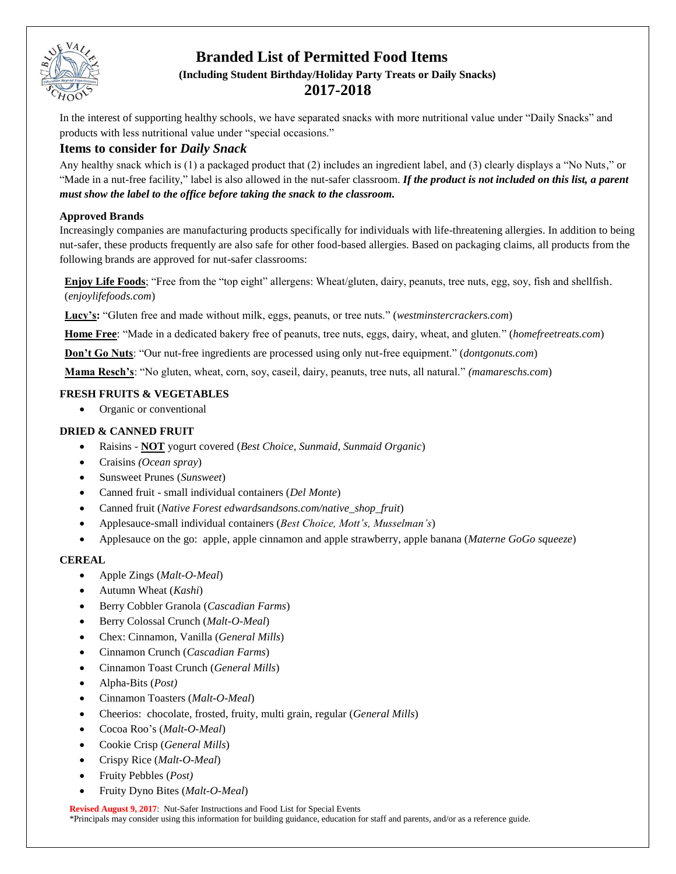

# **Branded List of Permitted Food Items (Including Student Birthday/Holiday Party Treats or Daily Snacks) 2017-2018**

In the interest of supporting healthy schools, we have separated snacks with more nutritional value under "Daily Snacks" and products with less nutritional value under "special occasions."

## **Items to consider for** *Daily Snack*

Any healthy snack which is (1) a packaged product that (2) includes an ingredient label, and (3) clearly displays a "No Nuts," or "Made in a nut-free facility," label is also allowed in the nut-safer classroom. *If the product is not included on this list, a parent must show the label to the office before taking the snack to the classroom.*

## **Approved Brands**

Increasingly companies are manufacturing products specifically for individuals with life-threatening allergies. In addition to being nut-safer, these products frequently are also safe for other food-based allergies. Based on packaging claims, all products from the following brands are approved for nut-safer classrooms:

**Enjoy Life Foods**; "Free from the "top eight" allergens: Wheat/gluten, dairy, peanuts, tree nuts, egg, soy, fish and shellfish. (*enjoylifefoods.com*)

**Lucy's:** "Gluten free and made without milk, eggs, peanuts, or tree nuts." (*westminstercrackers.com*)

**Home Free**: "Made in a dedicated bakery free of peanuts, tree nuts, eggs, dairy, wheat, and gluten." (*homefreetreats.com*)

**Don't Go Nuts**: "Our nut-free ingredients are processed using only nut-free equipment." (*dontgonuts.com*)

**Mama Resch's**: "No gluten, wheat, corn, soy, caseil, dairy, peanuts, tree nuts, all natural." *(mamareschs.com*)

## **FRESH FRUITS & VEGETABLES**

• Organic or conventional

## **DRIED & CANNED FRUIT**

- Raisins **NOT** yogurt covered (*Best Choice, Sunmaid, Sunmaid Organic*)
- Craisins *(Ocean spray*)
- Sunsweet Prunes (*Sunsweet*)
- Canned fruit small individual containers (*Del Monte*)
- Canned fruit (*Native Forest edwardsandsons.com/native\_shop\_fruit*)
- Applesauce-small individual containers (*Best Choice, Mott's, Musselman's*)
- Applesauce on the go: apple, apple cinnamon and apple strawberry, apple banana (*Materne GoGo squeeze*)

## **CEREAL**

- Apple Zings (*Malt-O-Meal*)
- Autumn Wheat (*Kashi*)
- Berry Cobbler Granola (*Cascadian Farms*)
- Berry Colossal Crunch (*Malt-O-Meal*)
- Chex: Cinnamon, Vanilla (*General Mills*)
- Cinnamon Crunch (*Cascadian Farms*)
- Cinnamon Toast Crunch (*General Mills*)
- Alpha-Bits (*Post)*
- Cinnamon Toasters (*Malt-O-Meal*)
- Cheerios: chocolate, frosted, fruity, multi grain, regular (*General Mills*)
- Cocoa Roo's (*Malt-O-Meal*)
- Cookie Crisp (*General Mills*)
- Crispy Rice (*Malt-O-Meal*)
- Fruity Pebbles (*Post)*
- Fruity Dyno Bites (*Malt-O-Meal*)

**Revised August 9, 2017**: Nut-Safer Instructions and Food List for Special Events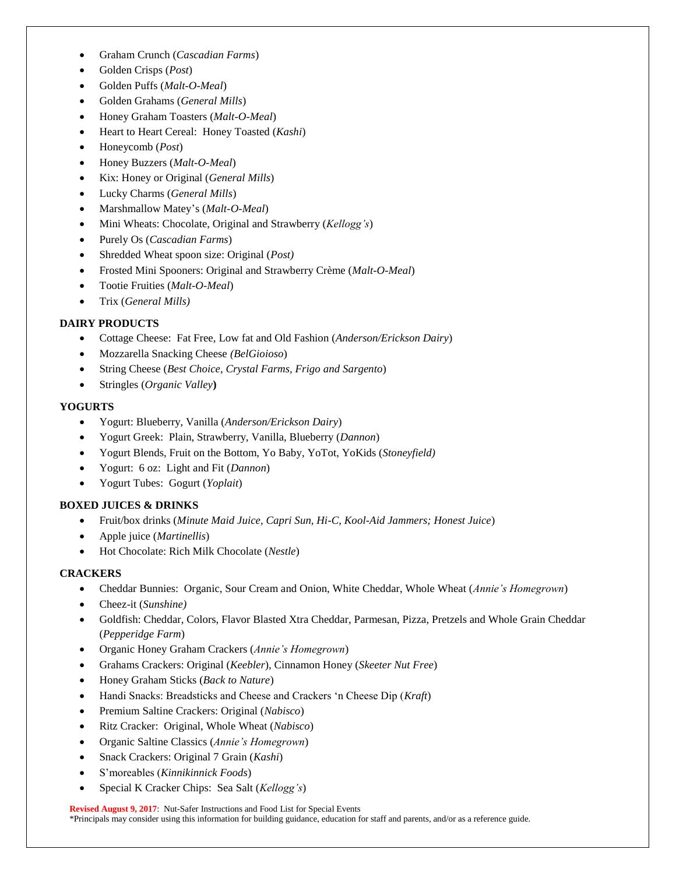- Graham Crunch (*Cascadian Farms*)
- Golden Crisps (*Post*)
- Golden Puffs (*Malt-O-Meal*)
- Golden Grahams (*General Mills*)
- Honey Graham Toasters (*Malt-O-Meal*)
- Heart to Heart Cereal: Honey Toasted (*Kashi*)
- Honeycomb (*Post*)
- Honey Buzzers (*Malt-O-Meal*)
- Kix: Honey or Original (*General Mills*)
- Lucky Charms (*General Mills*)
- Marshmallow Matey's (*Malt-O-Meal*)
- Mini Wheats: Chocolate, Original and Strawberry (*Kellogg's*)
- Purely Os (*Cascadian Farms*)
- Shredded Wheat spoon size: Original (*Post)*
- Frosted Mini Spooners: Original and Strawberry Crème (*Malt-O-Meal*)
- Tootie Fruities (*Malt-O-Meal*)
- Trix (*General Mills)*

## **DAIRY PRODUCTS**

- Cottage Cheese: Fat Free, Low fat and Old Fashion (*Anderson/Erickson Dairy*)
- Mozzarella Snacking Cheese *(BelGioioso*)
- String Cheese (*Best Choice, Crystal Farms, Frigo and Sargento*)
- Stringles (*Organic Valley***)**

## **YOGURTS**

- Yogurt: Blueberry, Vanilla (*Anderson/Erickson Dairy*)
- Yogurt Greek: Plain, Strawberry, Vanilla, Blueberry (*Dannon*)
- Yogurt Blends, Fruit on the Bottom, Yo Baby, YoTot, YoKids (*Stoneyfield)*
- Yogurt: 6 oz: Light and Fit (*Dannon*)
- Yogurt Tubes: Gogurt (*Yoplait*)

## **BOXED JUICES & DRINKS**

- Fruit/box drinks (*Minute Maid Juice, Capri Sun, Hi-C, Kool-Aid Jammers; Honest Juice*)
- Apple juice (*Martinellis*)
- Hot Chocolate: Rich Milk Chocolate (*Nestle*)

## **CRACKERS**

- Cheddar Bunnies: Organic, Sour Cream and Onion, White Cheddar, Whole Wheat (*Annie's Homegrown*)
- Cheez-it (*Sunshine)*
- Goldfish: Cheddar, Colors, Flavor Blasted Xtra Cheddar, Parmesan, Pizza, Pretzels and Whole Grain Cheddar (*Pepperidge Farm*)
- Organic Honey Graham Crackers (*Annie's Homegrown*)
- Grahams Crackers: Original (*Keebler*), Cinnamon Honey (*Skeeter Nut Free*)
- Honey Graham Sticks (*Back to Nature*)
- Handi Snacks: Breadsticks and Cheese and Crackers 'n Cheese Dip (*Kraft*)
- Premium Saltine Crackers: Original (*Nabisco*)
- Ritz Cracker: Original, Whole Wheat (*Nabisco*)
- Organic Saltine Classics (*Annie's Homegrown*)
- Snack Crackers: Original 7 Grain (*Kashi*)
- S'moreables (*Kinnikinnick Foods*)
- Special K Cracker Chips: Sea Salt (*Kellogg's*)

#### **Revised August 9, 2017**: Nut-Safer Instructions and Food List for Special Events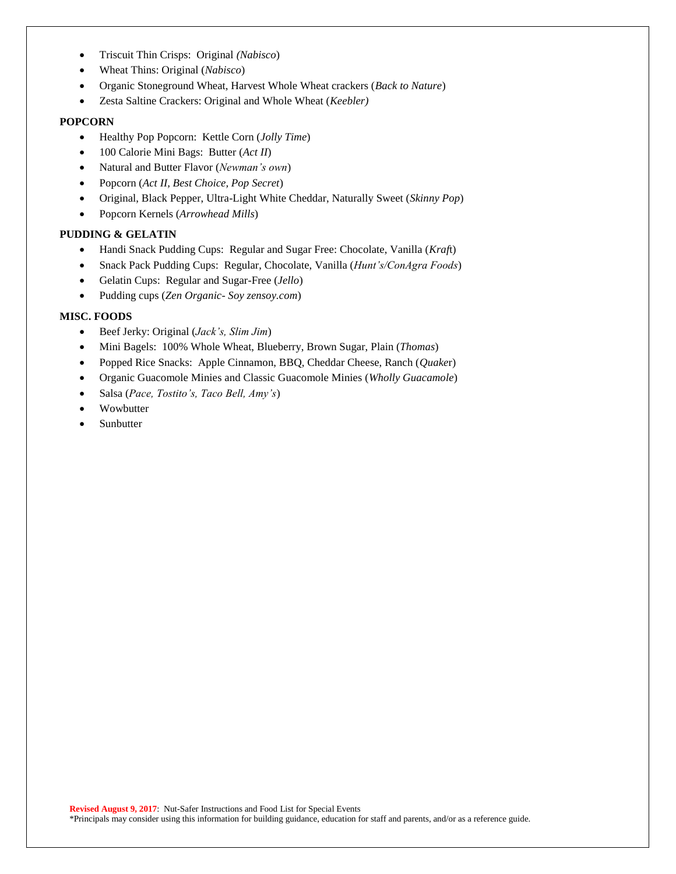- Triscuit Thin Crisps: Original *(Nabisco*)
- Wheat Thins: Original (*Nabisco*)
- Organic Stoneground Wheat, Harvest Whole Wheat crackers (*Back to Nature*)
- Zesta Saltine Crackers: Original and Whole Wheat (*Keebler)*

#### **POPCORN**

- Healthy Pop Popcorn: Kettle Corn (*Jolly Time*)
- 100 Calorie Mini Bags: Butter (*Act II*)
- Natural and Butter Flavor (*Newman's own*)
- Popcorn (*Act II, Best Choice, Pop Secret*)
- Original, Black Pepper, Ultra-Light White Cheddar, Naturally Sweet (*Skinny Pop*)
- Popcorn Kernels (*Arrowhead Mills*)

#### **PUDDING & GELATIN**

- Handi Snack Pudding Cups: Regular and Sugar Free: Chocolate, Vanilla (*Kraf*t)
- Snack Pack Pudding Cups: Regular, Chocolate, Vanilla (*Hunt's/ConAgra Foods*)
- Gelatin Cups: Regular and Sugar-Free (*Jello*)
- Pudding cups (*Zen Organic Soy zensoy.com*)

## **MISC. FOODS**

- Beef Jerky: Original (*Jack's, Slim Jim*)
- Mini Bagels: 100% Whole Wheat, Blueberry, Brown Sugar, Plain (*Thomas*)
- Popped Rice Snacks: Apple Cinnamon, BBQ, Cheddar Cheese, Ranch (*Quake*r)
- Organic Guacomole Minies and Classic Guacomole Minies (*Wholly Guacamole*)
- Salsa (*Pace, Tostito's, Taco Bell, Amy's*)
- Wowbutter
- Sunbutter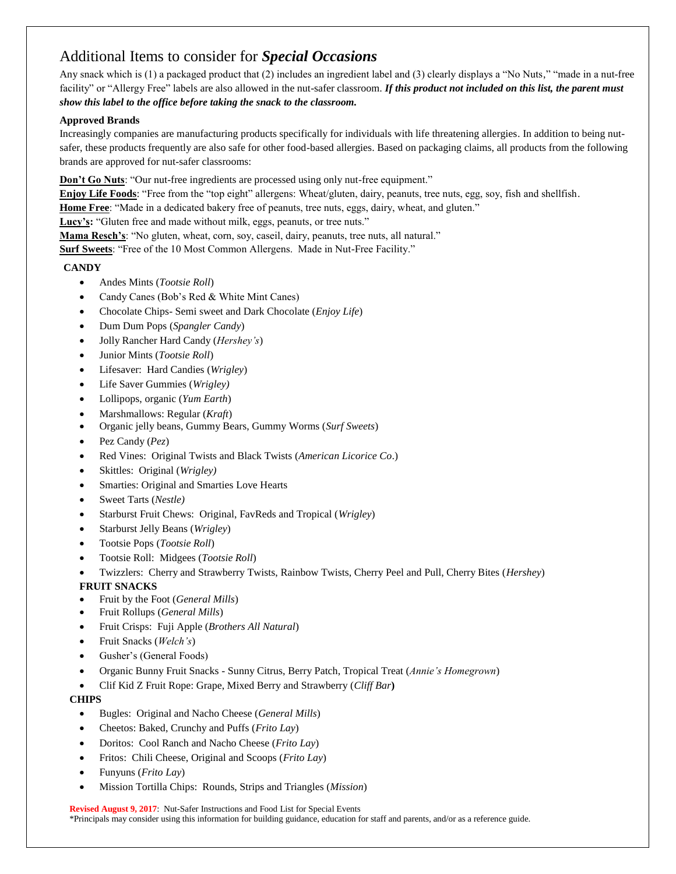# Additional Items to consider for *Special Occasions*

Any snack which is (1) a packaged product that (2) includes an ingredient label and (3) clearly displays a "No Nuts," "made in a nut-free facility" or "Allergy Free" labels are also allowed in the nut-safer classroom. If this product not included on this list, the parent must *show this label to the office before taking the snack to the classroom.*

#### **Approved Brands**

Increasingly companies are manufacturing products specifically for individuals with life threatening allergies. In addition to being nutsafer, these products frequently are also safe for other food-based allergies. Based on packaging claims, all products from the following brands are approved for nut-safer classrooms:

**Don't Go Nuts**: "Our nut-free ingredients are processed using only nut-free equipment."

**Enjoy Life Foods**: "Free from the "top eight" allergens: Wheat/gluten, dairy, peanuts, tree nuts, egg, soy, fish and shellfish.

**Home Free**: "Made in a dedicated bakery free of peanuts, tree nuts, eggs, dairy, wheat, and gluten."

**Lucy's:** "Gluten free and made without milk, eggs, peanuts, or tree nuts."

**Mama Resch's**: "No gluten, wheat, corn, soy, caseil, dairy, peanuts, tree nuts, all natural."

**Surf Sweets**: "Free of the 10 Most Common Allergens. Made in Nut-Free Facility."

## **CANDY**

- Andes Mints (*Tootsie Roll*)
- Candy Canes (Bob's Red & White Mint Canes)
- Chocolate Chips- Semi sweet and Dark Chocolate (*Enjoy Life*)
- Dum Dum Pops (*Spangler Candy*)
- Jolly Rancher Hard Candy (*Hershey's*)
- Junior Mints (*Tootsie Roll*)
- Lifesaver: Hard Candies (*Wrigley*)
- Life Saver Gummies (*Wrigley)*
- Lollipops, organic (*Yum Earth*)
- Marshmallows: Regular (*Kraft*)
- Organic jelly beans, Gummy Bears, Gummy Worms (*Surf Sweets*)
- Pez Candy (*Pez*)
- Red Vines: Original Twists and Black Twists (*American Licorice Co*.)
- Skittles: Original (*Wrigley)*
- Smarties: Original and Smarties Love Hearts
- Sweet Tarts (*Nestle)*
- Starburst Fruit Chews: Original, FavReds and Tropical (*Wrigley*)
- Starburst Jelly Beans (*Wrigley*)
- Tootsie Pops (*Tootsie Roll*)
- Tootsie Roll: Midgees (*Tootsie Roll*)
- Twizzlers: Cherry and Strawberry Twists, Rainbow Twists, Cherry Peel and Pull, Cherry Bites (*Hershey*)

## **FRUIT SNACKS**

- Fruit by the Foot (*General Mills*)
- Fruit Rollups (*General Mills*)
- Fruit Crisps: Fuji Apple (*Brothers All Natural*)
- Fruit Snacks (*Welch's*)
- Gusher's (General Foods)
- Organic Bunny Fruit Snacks Sunny Citrus, Berry Patch, Tropical Treat (*Annie's Homegrown*)
- Clif Kid Z Fruit Rope: Grape, Mixed Berry and Strawberry (*Cliff Bar***)**

## **CHIPS**

- Bugles: Original and Nacho Cheese (*General Mills*)
- Cheetos: Baked, Crunchy and Puffs (*Frito Lay*)
- Doritos: Cool Ranch and Nacho Cheese (*Frito Lay*)
- Fritos: Chili Cheese, Original and Scoops (*Frito Lay*)
- Funyuns (*Frito Lay*)
- Mission Tortilla Chips: Rounds, Strips and Triangles (*Mission*)

**Revised August 9, 2017**: Nut-Safer Instructions and Food List for Special Events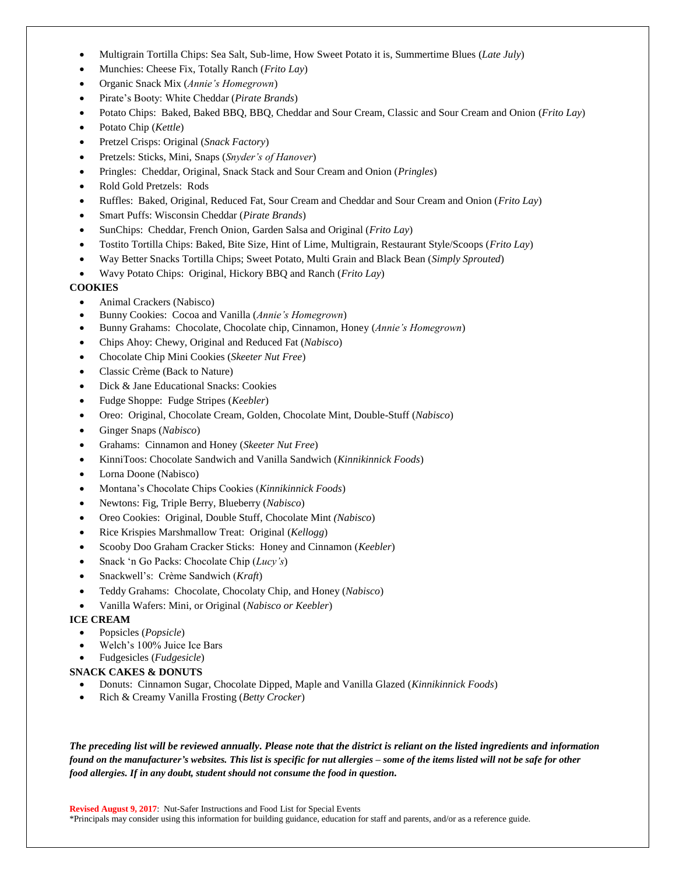- Multigrain Tortilla Chips: Sea Salt, Sub-lime, How Sweet Potato it is, Summertime Blues (*Late July*)
- Munchies: Cheese Fix, Totally Ranch (*Frito Lay*)
- Organic Snack Mix (*Annie's Homegrown*)
- Pirate's Booty: White Cheddar (*Pirate Brands*)
- Potato Chips: Baked, Baked BBQ, BBQ, Cheddar and Sour Cream, Classic and Sour Cream and Onion (*Frito Lay*)
- Potato Chip (*Kettle*)
- Pretzel Crisps: Original (*Snack Factory*)
- Pretzels: Sticks, Mini, Snaps (*Snyder's of Hanover*)
- Pringles: Cheddar, Original, Snack Stack and Sour Cream and Onion (*Pringles*)
- Rold Gold Pretzels: Rods
- Ruffles: Baked, Original, Reduced Fat, Sour Cream and Cheddar and Sour Cream and Onion (*Frito Lay*)
- Smart Puffs: Wisconsin Cheddar (*Pirate Brands*)
- SunChips: Cheddar, French Onion, Garden Salsa and Original (*Frito Lay*)
- Tostito Tortilla Chips: Baked, Bite Size, Hint of Lime, Multigrain, Restaurant Style/Scoops (*Frito Lay*)
- Way Better Snacks Tortilla Chips; Sweet Potato, Multi Grain and Black Bean (*Simply Sprouted*)
- Wavy Potato Chips: Original, Hickory BBQ and Ranch (*Frito Lay*)

## **COOKIES**

- Animal Crackers (Nabisco)
- Bunny Cookies: Cocoa and Vanilla (*Annie's Homegrown*)
- Bunny Grahams: Chocolate, Chocolate chip, Cinnamon, Honey (*Annie's Homegrown*)
- Chips Ahoy: Chewy, Original and Reduced Fat (*Nabisco*)
- Chocolate Chip Mini Cookies (*Skeeter Nut Free*)
- Classic Crème (Back to Nature)
- Dick & Jane Educational Snacks: Cookies
- Fudge Shoppe: Fudge Stripes (*Keebler*)
- Oreo: Original, Chocolate Cream, Golden, Chocolate Mint, Double-Stuff (*Nabisco*)
- Ginger Snaps (*Nabisco*)
- Grahams: Cinnamon and Honey (*Skeeter Nut Free*)
- KinniToos: Chocolate Sandwich and Vanilla Sandwich (*Kinnikinnick Foods*)
- Lorna Doone (Nabisco)
- Montana's Chocolate Chips Cookies (*Kinnikinnick Foods*)
- Newtons: Fig, Triple Berry, Blueberry (*Nabisco*)
- Oreo Cookies: Original, Double Stuff, Chocolate Mint *(Nabisco*)
- Rice Krispies Marshmallow Treat: Original (*Kellogg*)
- Scooby Doo Graham Cracker Sticks: Honey and Cinnamon (*Keebler*)
- Snack 'n Go Packs: Chocolate Chip (*Lucy's*)
- Snackwell's: Crème Sandwich (*Kraft*)
- Teddy Grahams: Chocolate, Chocolaty Chip, and Honey (*Nabisco*)
- Vanilla Wafers: Mini, or Original (*Nabisco or Keebler*)

## **ICE CREAM**

- Popsicles (*Popsicle*)
- Welch's 100% Juice Ice Bars
- Fudgesicles (*Fudgesicle*)

#### **SNACK CAKES & DONUTS**

- Donuts: Cinnamon Sugar, Chocolate Dipped, Maple and Vanilla Glazed (*Kinnikinnick Foods*)
- Rich & Creamy Vanilla Frosting (*Betty Crocker*)

*The preceding list will be reviewed annually. Please note that the district is reliant on the listed ingredients and information found on the manufacturer's websites. This list is specific for nut allergies – some of the items listed will not be safe for other food allergies. If in any doubt, student should not consume the food in question.*

**Revised August 9, 2017**: Nut-Safer Instructions and Food List for Special Events